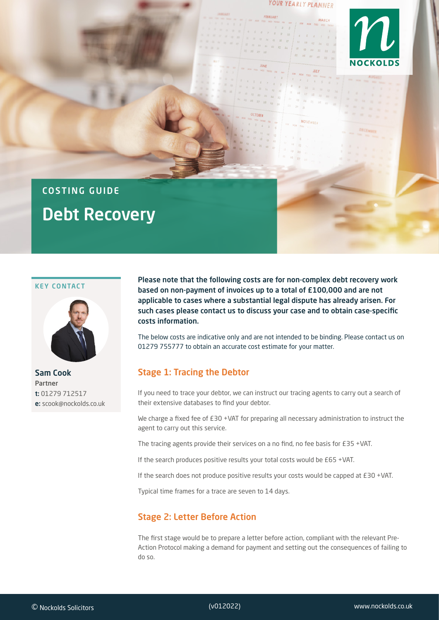#### YOUR YEARLY PLANNER

**NOVEMBER** 

**MARCH** 



# COSTING GUIDE Debt Recovery

#### KEY CONTACT



Sam Cook Partner t: 01279 712517 e: scook@nockolds.co.uk

Please note that the following costs are for non-complex debt recovery work based on non-payment of invoices up to a total of £100,000 and are not applicable to cases where a substantial legal dispute has already arisen. For such cases please contact us to discuss your case and to obtain case-specific costs information.

The below costs are indicative only and are not intended to be binding. Please contact us on 01279 755777 to obtain an accurate cost estimate for your matter.

## Stage 1: Tracing the Debtor

If you need to trace your debtor, we can instruct our tracing agents to carry out a search of their extensive databases to find your debtor.

We charge a fixed fee of £30 +VAT for preparing all necessary administration to instruct the agent to carry out this service.

The tracing agents provide their services on a no find, no fee basis for £35 +VAT.

If the search produces positive results your total costs would be £65 +VAT.

If the search does not produce positive results your costs would be capped at £30 +VAT.

Typical time frames for a trace are seven to 14 days.

## Stage 2: Letter Before Action

The first stage would be to prepare a letter before action, compliant with the relevant Pre-Action Protocol making a demand for payment and setting out the consequences of failing to do so.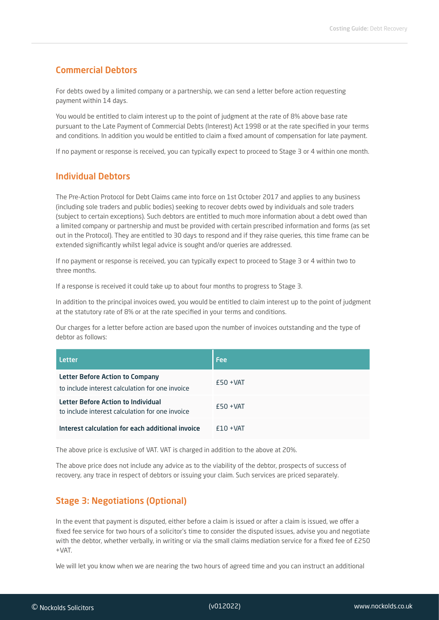#### Commercial Debtors

For debts owed by a limited company or a partnership, we can send a letter before action requesting payment within 14 days.

You would be entitled to claim interest up to the point of judgment at the rate of 8% above base rate pursuant to the Late Payment of Commercial Debts (Interest) Act 1998 or at the rate specified in your terms and conditions. In addition you would be entitled to claim a fixed amount of compensation for late payment.

If no payment or response is received, you can typically expect to proceed to Stage 3 or 4 within one month.

#### Individual Debtors

The Pre-Action Protocol for Debt Claims came into force on 1st October 2017 and applies to any business (including sole traders and public bodies) seeking to recover debts owed by individuals and sole traders (subject to certain exceptions). Such debtors are entitled to much more information about a debt owed than a limited company or partnership and must be provided with certain prescribed information and forms (as set out in the Protocol). They are entitled to 30 days to respond and if they raise queries, this time frame can be extended significantly whilst legal advice is sought and/or queries are addressed.

If no payment or response is received, you can typically expect to proceed to Stage 3 or 4 within two to three months.

If a response is received it could take up to about four months to progress to Stage 3.

In addition to the principal invoices owed, you would be entitled to claim interest up to the point of judgment at the statutory rate of 8% or at the rate specified in your terms and conditions.

Our charges for a letter before action are based upon the number of invoices outstanding and the type of debtor as follows:

| <b>Letter</b>                                                                         | <b>Fee</b>  |
|---------------------------------------------------------------------------------------|-------------|
| Letter Before Action to Company<br>to include interest calculation for one invoice    | $f50 + VAT$ |
| Letter Before Action to Individual<br>to include interest calculation for one invoice | $£50 + VAT$ |
| Interest calculation for each additional invoice                                      | $f10 + VAT$ |

The above price is exclusive of VAT. VAT is charged in addition to the above at 20%.

The above price does not include any advice as to the viability of the debtor, prospects of success of recovery, any trace in respect of debtors or issuing your claim. Such services are priced separately.

## Stage 3: Negotiations (Optional)

In the event that payment is disputed, either before a claim is issued or after a claim is issued, we offer a fixed fee service for two hours of a solicitor's time to consider the disputed issues, advise you and negotiate with the debtor, whether verbally, in writing or via the small claims mediation service for a fixed fee of £250 +VAT.

We will let you know when we are nearing the two hours of agreed time and you can instruct an additional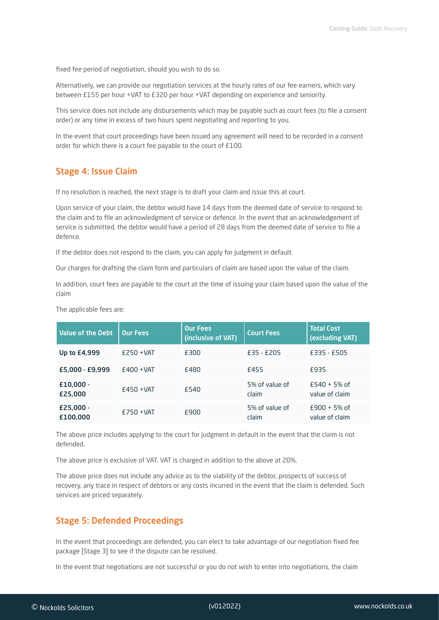fixed fee period of negotiation, should you wish to do so.

Alternatively, we can provide our negotiation services at the hourly rates of our fee earners, which vary between £155 per hour +VAT to £320 per hour +VAT depending on experience and seniority.

This service does not include any disbursements which may be payable such as court fees (to file a consent order) or any time in excess of two hours spent negotiating and reporting to you.

In the event that court proceedings have been issued any agreement will need to be recorded in a consent order for which there is a court fee payable to the court of £100.

#### Stage 4: Issue Claim

If no resolution is reached, the next stage is to draft your claim and issue this at court.

Upon service of your claim, the debtor would have 14 days from the deemed date of service to respond to the claim and to file an acknowledgment of service or defence. In the event that an acknowledgement of service is submitted, the debtor would have a period of 28 days from the deemed date of service to file a defence.

If the debtor does not respond to the claim, you can apply for judgment in default.

Our charges for drafting the claim form and particulars of claim are based upon the value of the claim.

In addition, court fees are payable to the court at the time of issuing your claim based upon the value of the claim

| <b>Value of the Debt</b> | <b>Our Fees</b> | <b>Our Fees</b><br>(inclusive of VAT) | <b>Court Fees</b>       | <b>Total Cost</b><br>(excluding VAT) |
|--------------------------|-----------------|---------------------------------------|-------------------------|--------------------------------------|
| Up to £4,999             | $E250 + VAT$    | £300                                  | $£35 - £205$            | £335 - £505                          |
| £5,000 - £9,999          | $E400 + VAT$    | £480                                  | <b>£455</b>             | F935                                 |
| $£10,000 -$<br>£25,000   | $E450 + VAT$    | £540                                  | 5% of value of<br>claim | $E$ 540 + 5% of<br>value of claim    |
| $E25,000 -$<br>£100,000  | $E750 + VAT$    | £900                                  | 5% of value of<br>claim | $E900 + 5%$ of<br>value of claim     |

The applicable fees are:

The above price includes applying to the court for judgment in default in the event that the claim is not defended.

The above price is exclusive of VAT. VAT is charged in addition to the above at 20%.

The above price does not include any advice as to the viability of the debtor, prospects of success of recovery, any trace in respect of debtors or any costs incurred in the event that the claim is defended. Such services are priced separately.

#### Stage 5: Defended Proceedings

In the event that proceedings are defended, you can elect to take advantage of our negotiation fixed fee package [Stage 3] to see if the dispute can be resolved.

In the event that negotiations are not successful or you do not wish to enter into negotiations, the claim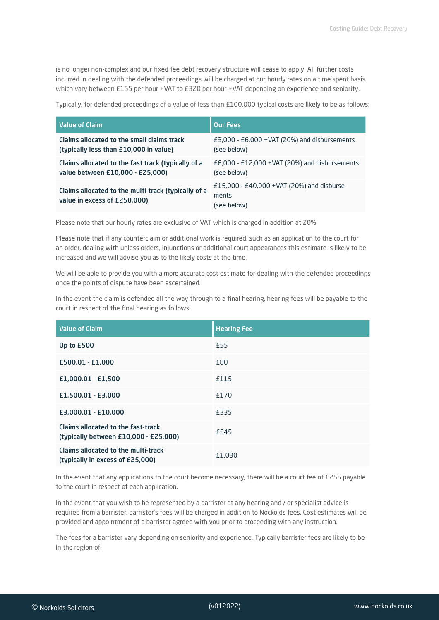is no longer non-complex and our fixed fee debt recovery structure will cease to apply. All further costs incurred in dealing with the defended proceedings will be charged at our hourly rates on a time spent basis which vary between £155 per hour +VAT to £320 per hour +VAT depending on experience and seniority.

Typically, for defended proceedings of a value of less than £100,000 typical costs are likely to be as follows:

| <b>Value of Claim</b>                                                               | <b>Our Fees</b>                                                     |
|-------------------------------------------------------------------------------------|---------------------------------------------------------------------|
| Claims allocated to the small claims track                                          | $E3,000 - E6,000 + VAT$ (20%) and disbursements                     |
| (typically less than £10,000 in value)                                              | (see below)                                                         |
| Claims allocated to the fast track (typically of a                                  | $E6,000 - E12,000 + VAT$ (20%) and disbursements                    |
| value between £10,000 - £25,000)                                                    | (see below)                                                         |
| Claims allocated to the multi-track (typically of a<br>value in excess of £250,000) | £15,000 - £40,000 + VAT (20%) and disburse-<br>ments<br>(see below) |

Please note that our hourly rates are exclusive of VAT which is charged in addition at 20%.

Please note that if any counterclaim or additional work is required, such as an application to the court for an order, dealing with unless orders, injunctions or additional court appearances this estimate is likely to be increased and we will advise you as to the likely costs at the time.

We will be able to provide you with a more accurate cost estimate for dealing with the defended proceedings once the points of dispute have been ascertained.

In the event the claim is defended all the way through to a final hearing, hearing fees will be payable to the court in respect of the final hearing as follows:

| <b>Value of Claim</b>                                                       | <b>Hearing Fee</b> |
|-----------------------------------------------------------------------------|--------------------|
| Up to £500                                                                  | £55                |
| £500.01 - £1,000                                                            | £80                |
| $E1,000.01 - E1,500$                                                        | £115               |
| £1,500.01 - £3,000                                                          | £170               |
| £3,000.01 - £10,000                                                         | £335               |
| Claims allocated to the fast-track<br>(typically between £10,000 - £25,000) | £545               |
| Claims allocated to the multi-track<br>(typically in excess of £25,000)     | £1,090             |

In the event that any applications to the court become necessary, there will be a court fee of £255 payable to the court in respect of each application.

In the event that you wish to be represented by a barrister at any hearing and / or specialist advice is required from a barrister, barrister's fees will be charged in addition to Nockolds fees. Cost estimates will be provided and appointment of a barrister agreed with you prior to proceeding with any instruction.

The fees for a barrister vary depending on seniority and experience. Typically barrister fees are likely to be in the region of: